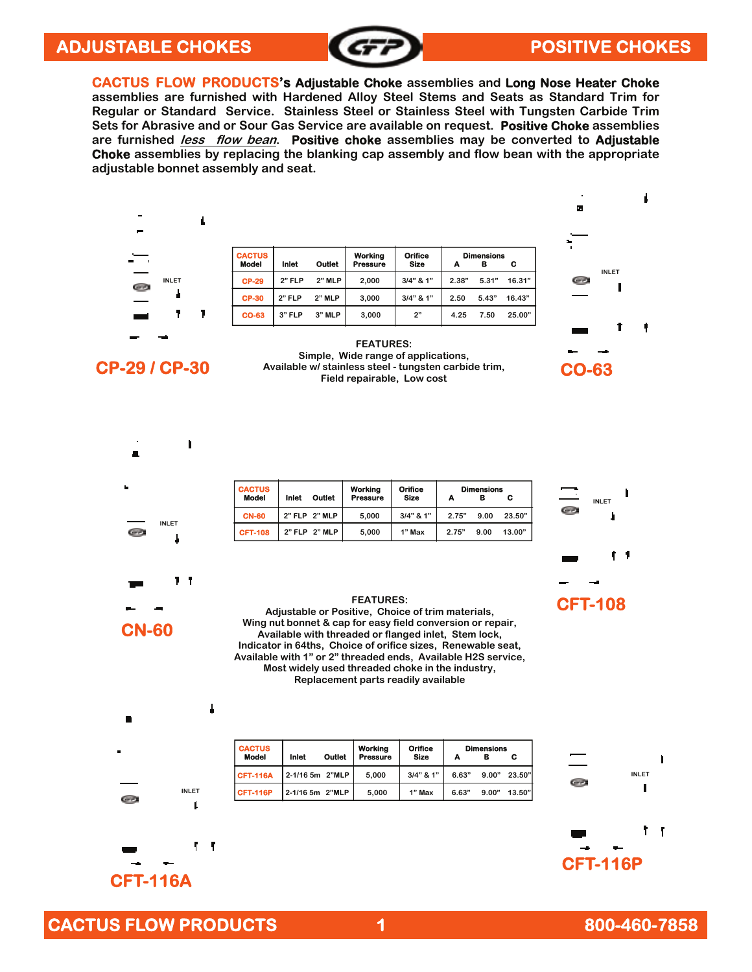#### ADJUSTABLE CHOKES **ADJUSTABLE CHOKES**



**CACTUS FLOW PRODUCTS's Adjustable Choke assemblies and Long Nose Heater Choke assemblies are furnished with Hardened Alloy Steel Stems and Seats as Standard Trim for Regular or Standard Service. Stainless Steel or Stainless Steel with Tungsten Carbide Trim Sets for Abrasive and or Sour Gas Service are available on request. Positive Choke assemblies are furnished less flow bean. Positive choke assemblies may be converted to Adjustable Choke assemblies by replacing the blanking cap assembly and flow bean with the appropriate adjustable bonnet assembly and seat.** 



д

GR)

**CP-29 / CP-30** Available w/ stainless steel - tungsten carbide trim, CO-63 **Simple, Wide range of applications, Field repairable, Low cost** 



| <b>CACTUS</b><br><b>Model</b> | Inlet         | Outlet | Working<br><b>Pressure</b> | Orifice<br><b>Size</b> |       | <b>Dimensions</b><br>в | С      |
|-------------------------------|---------------|--------|----------------------------|------------------------|-------|------------------------|--------|
| <b>CN-60</b>                  | 2" FLP 2" MLP |        | 5.000                      | $3/4"$ & 1"            | 2.75" | 9.00                   | 23.50" |
| <b>CFT-108</b>                | 2" FLP 2" MLP |        | 5.000                      | 1" Max                 | 2.75" | 9.00                   | 13.00" |



**INLET** 

#### **FEATURES:**

**Adjustable or Positive, Choice of trim materials, Wing nut bonnet & cap for easy field conversion or repair, Available with threaded or flanged inlet, Stem lock, Indicator in 64ths, Choice of orifice sizes, Renewable seat, Available with 1" or 2" threaded ends, Available H2S service, Most widely used threaded choke in the industry, Replacement parts readily available** 



L

٢ ٢

**CN-60** 

**INLET** 

11

ľ

| <b>CACTUS</b><br><b>Model</b> | Inlet           | <b>Outlet</b> | Working<br>Pressure | <b>Orifice</b><br><b>Size</b> |       | <b>Dimensions</b> | С      |
|-------------------------------|-----------------|---------------|---------------------|-------------------------------|-------|-------------------|--------|
| <b>CFT-116A</b>               | 2-1/16 5m 2"MLP |               | 5.000               | $3/4"$ & 1"                   | 6.63" | 9.00"             | 23.50" |
| <b>CFT-116P</b>               | 2-1/16 5m 2"MLP |               | 5.000               | 1" Max                        | 6.63" | 9.00"             | 13.50" |



**CFT-116A** 

Œб

#### **CACTUS FLOW PRODUCTS** 1 800-460-7858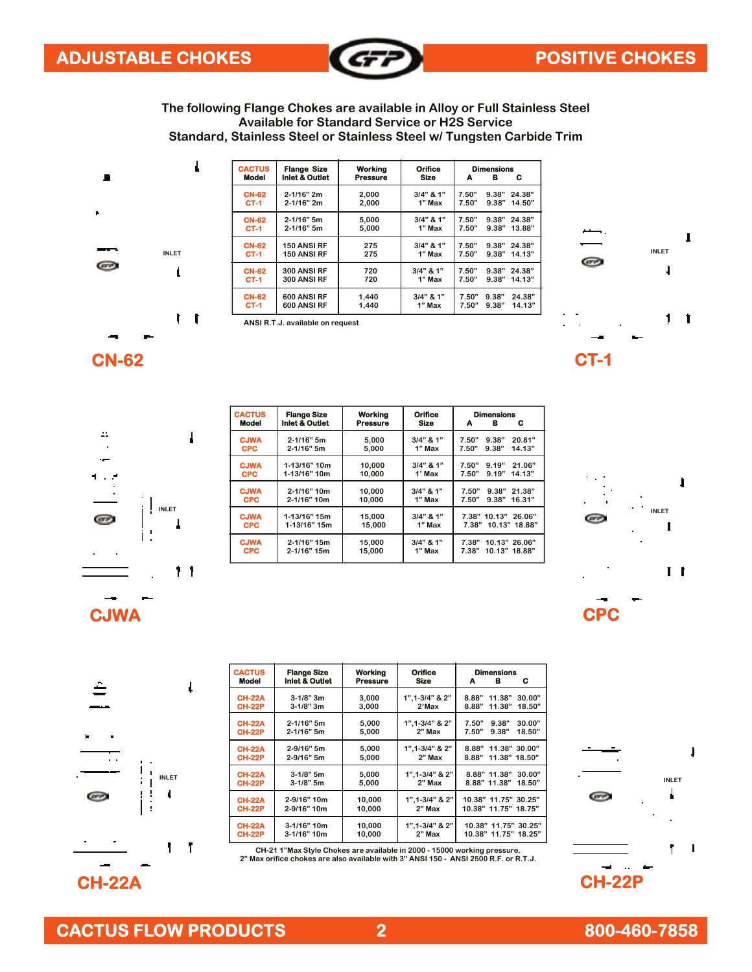

**The following Flange Chokes are available in Alloy or Full Stainless Steel Available for Standard Service or H2S Service Standard, Stainless Steel or Stainless Steel w/ Tungsten Carbide Trim** 



| <b>CACTUS</b><br><b>Model</b> | <b>Flange Size</b><br><b>Inlet &amp; Outlet</b> | Working<br><b>Pressure</b> | Orifice<br>Size | A     | <b>Dimensions</b><br>в | c      |
|-------------------------------|-------------------------------------------------|----------------------------|-----------------|-------|------------------------|--------|
| <b>CN-62</b>                  | $2 - 1/16"$ 2m                                  | 2.000                      | $3/4"$ & 1"     | 7.50" | 9.38"                  | 24.38" |
| <b>CT-1</b>                   | 2-1/16" 2m                                      | 2.000                      | 1" Max          | 7.50" | 9.38"                  | 14.50" |
| <b>CN-62</b>                  | $2 - 1/16"$ 5m                                  | 5,000                      | $3/4"$ & 1"     | 7.50" | 9.38"                  | 24.38" |
| <b>CT-1</b>                   | 2-1/16" 5m                                      | 5.000                      | 1" Max          | 7.50" | 9.38"                  | 13.88" |
| <b>CN-62</b>                  | 150 ANSI RF                                     | 275                        | $3/4"$ & 1"     | 7.50" | 9.38"                  | 24.38" |
| <b>CT-1</b>                   | <b>150 ANSI RF</b>                              | 275                        | 1" Max          | 7.50" | 9.38"                  | 14.13" |
| <b>CN-62</b>                  | 300 ANSI RF                                     | 720                        | $3/4"$ & 1"     | 7.50" | 9.38"                  | 24.38" |
| $CT-1$                        | 300 ANSI RF                                     | 720                        | 1" Max          | 7.50" | 9.38"                  | 14.13" |
| <b>CN-62</b>                  | 600 ANSI RF                                     | 1,440                      | $3/4"$ & 1"     | 7.50" | 9.38"                  | 24.38" |
| <b>CT-1</b>                   | 600 ANSI RF                                     | 1.440                      | 1" Max          | 7.50" | 9.38"                  | 14.13" |





| <b>CACTUS</b>             | <b>Flange Size</b>               |                  | Orifice<br>Workina    |                                                      |  | <b>Dimensions</b> |  |  |  |
|---------------------------|----------------------------------|------------------|-----------------------|------------------------------------------------------|--|-------------------|--|--|--|
| <b>Model</b>              | <b>Inlet &amp; Outlet</b>        | Pressure         | <b>Size</b>           | в<br>с<br>A                                          |  |                   |  |  |  |
| <b>CJWA</b><br><b>CPC</b> | $2 - 1/16"$ 5m<br>$2 - 1/16"$ 5m | 5,000<br>5.000   | $3/4"$ & 1"<br>1" Max | 9.38"<br>20.81"<br>7.50"<br>9.38"<br>7.50"<br>14.13" |  |                   |  |  |  |
| <b>CJWA</b><br><b>CPC</b> | 1-13/16" 10m<br>1-13/16" 10m     | 10.000<br>10.000 | $3/4"$ & 1"<br>1' Max | 9.19"<br>7.50"<br>21.06"<br>9.19"<br>14.13"<br>7.50" |  |                   |  |  |  |
| <b>CJWA</b><br><b>CPC</b> | 2-1/16" 10m<br>2-1/16" 10m       | 10.000<br>10.000 | $3/4"$ & 1"<br>1" Max | 9.38"<br>7.50"<br>21.38"<br>9.38"<br>16.31"<br>7.50" |  |                   |  |  |  |
| <b>CJWA</b><br><b>CPC</b> | 1-13/16" 15m<br>1-13/16" 15m     | 15,000<br>15,000 | $3/4"$ & 1"<br>1" Max | 7.38" 10.13"<br>26.06"<br>7.38" 10.13" 18.88"        |  |                   |  |  |  |
| <b>CJWA</b><br><b>CPC</b> | 2-1/16" 15m<br>$2 - 1/16" 15m$   | 15,000<br>15.000 | $3/4"$ & 1"<br>1" Max | 7.38"<br>10.13" 26.06"<br>10.13" 18.88"<br>7.38"     |  |                   |  |  |  |
|                           |                                  |                  |                       |                                                      |  |                   |  |  |  |





| <b>CACTUS</b><br><b>Model</b>  | <b>Flange Size</b><br>Inlet & Outlet | Working<br><b>Pressure</b> | <b>Orifice</b><br><b>Size</b>   | <b>Dimensions</b><br>c<br>в<br>A                       |
|--------------------------------|--------------------------------------|----------------------------|---------------------------------|--------------------------------------------------------|
| <b>CH-22A</b><br><b>CH-22P</b> | $3 - 1/8"$ 3m<br>$3 - 1/8"$ 3m       | 3.000<br>3.000             | $1", 1 - 3/4"$ & 2"<br>2'Max    | 8.88"<br>11.38"<br>30.00"<br>8.88"<br>11.38"<br>18.50" |
| <b>CH-22A</b><br><b>CH-22P</b> | $2 - 1/16"$ 5m<br>$2 - 1/16"$ 5m     | 5,000<br>5.000             | 1", 1-3/4" & 2"<br>$2"$ Max     | 9.38"<br>7.50"<br>30.00"<br>9.38"<br>7.50"<br>18.50"   |
| <b>CH-22A</b><br><b>CH-22P</b> | 2-9/16" 5m<br>2-9/16" 5m             | 5.000<br>5,000             | $1".1 - 3/4."$ & $2"$<br>2" Max | 8.88"<br>11.38" 30.00"<br>8.88"<br>11.38"<br>18.50"    |
| <b>CH-22A</b><br><b>CH-22P</b> | $3-1/8"$ 5m<br>$3-1/8"$ 5m           | 5.000<br>5.000             | 1", 1-3/4" & 2"<br>2" Max       | 8.88" 11.38"<br>30.00"<br>8.88" 11.38"<br>18.50"       |
| <b>CH-22A</b><br><b>CH-22P</b> | 2-9/16" 10m<br>2-9/16" 10m           | 10.000<br>10.000           | $1".1 - 3/4."$ & $2"$<br>2" Max | 10.38" 11.75" 30.25"<br>10.38" 11.75" 18.75"           |
| <b>CH-22A</b><br><b>CH-22P</b> | 3-1/16" 10m<br>3-1/16" 10m           | 10.000<br>10.000           | $1".1 - 3/4."$ & $2"$<br>2" Max | 10.38" 11.75" 30.25"<br>10.38" 11.75" 18.25"           |
|                                |                                      |                            |                                 |                                                        |

**CH-21 1"Max Style Chokes are available in 2000 - 15000 working pressure. 2" Max orifice chokes are also available with 3" ANSI 150 - ANSI 2500 R.F. or R.T.J.** 



**CH-22A CH-22P**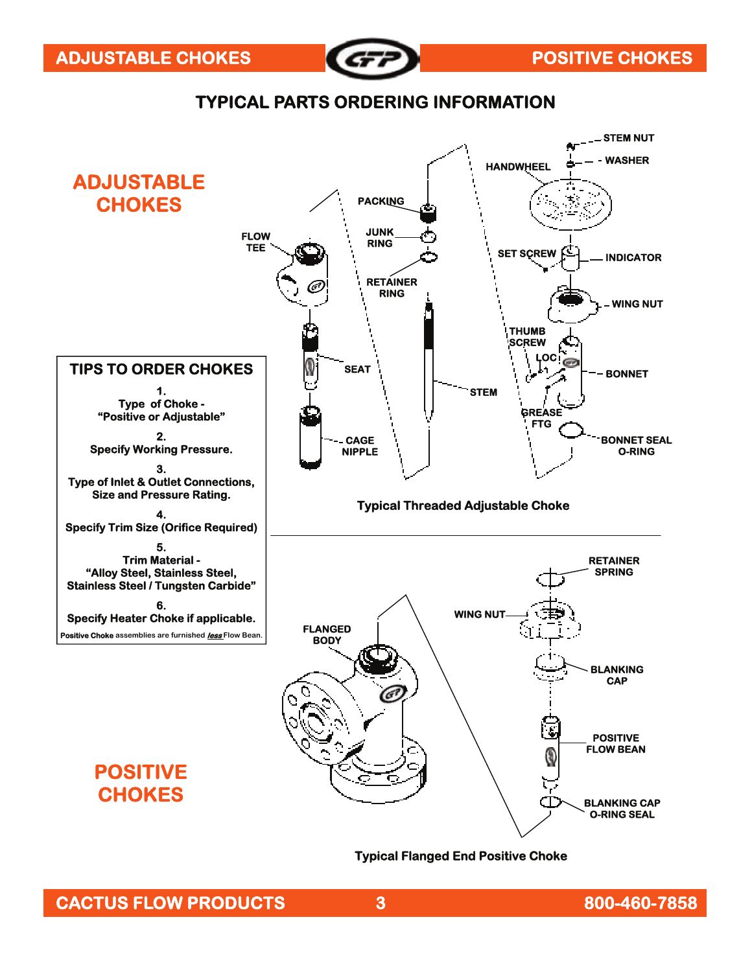

## **TYPICAL PARTS ORDERING INFORMATION**



#### **Typical Flanged End Positive Choke**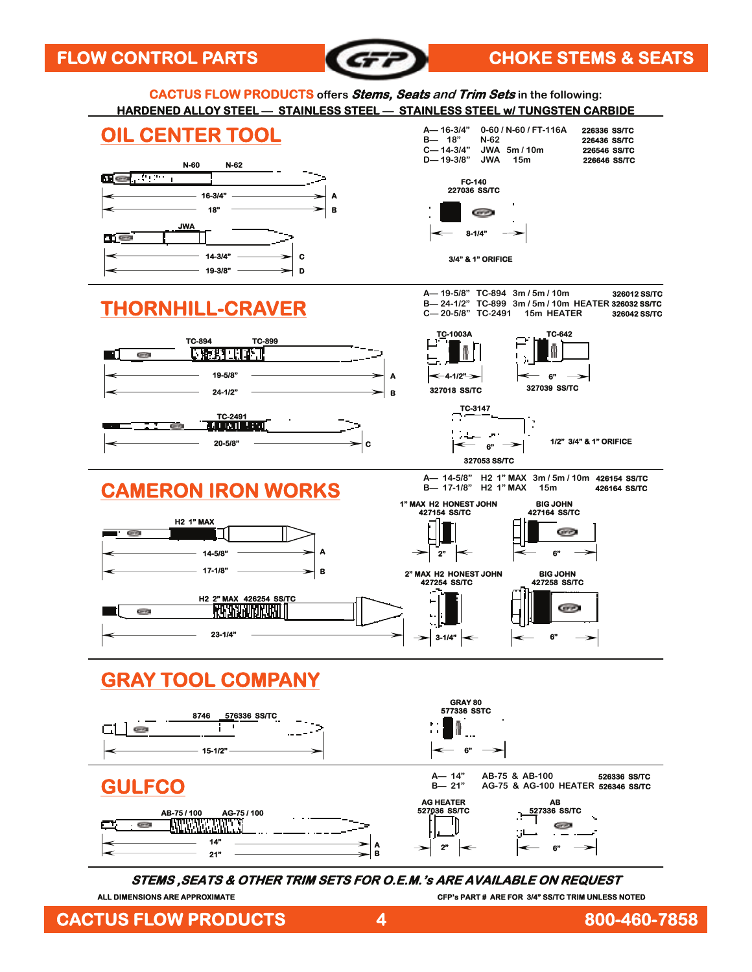

### FLOW CONTROL PARTS **CHOKE STEMS & SEATS**



**STEMS ,SEATS & OTHER TRIM SETS FOR O.E.M.'s ARE AVAILABLE ON REQUEST** 

**CFP's PART # ARE FOR 3/4" SS/TC TRIM UNLESS NOTED** 

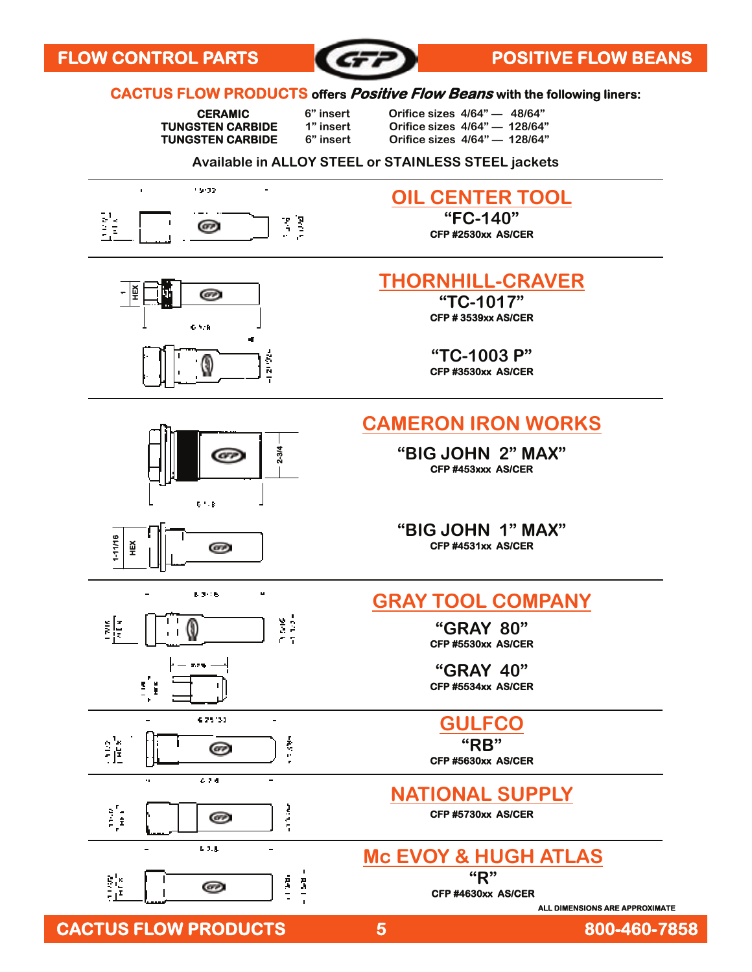

#### **CACTUS FLOW PRODUCTS offers Positive Flow Beans with the following liners:**

 **CERAMIC 6" insert Orifice sizes 4/64" — 48/64"** 

**TUNGSTEN CARBIDE** 1" insert Orifice sizes 4/64" — 128/64"<br> **TUNGSTEN CARBIDE** 6" insert Orifice sizes 4/64" — 128/64"  **TUNGSTEN CARBIDE 6" insert Orifice sizes 4/64" — 128/64"** 

#### **Available in ALLOY STEEL or STAINLESS STEEL jackets**



# **OIL CENTER TOOL**

**"FC-140" CFP #2530xx AS/CER** 



GFP

6 H.B

 $8.3006$ 

625131

674

 $6.3.8$ 

බ

෨

෨

0

ෛ

**1-11/16 HEX** 

镇

謹

្រុំ

鱸

3 ř

 $\ddot{\phantom{a}}$ 

**2-3/4** 

u

¥.

i<br>S

医生物

i

 $\frac{\pi}{2}$ 

## **THORNHILL-CRAVER**

**"TC-1017" CFP # 3539xx AS/CER** 

**"TC-1003 P" CFP #3530xx AS/CER** 

## **CAMERON IRON WORKS**

**"BIG JOHN 2" MAX" CFP #453xxx AS/CER** 

**"BIG JOHN 1" MAX" CFP #4531xx AS/CER** 

#### **GRAY TOOL COMPANY**

**"GRAY 80" CFP #5530xx AS/CER** 

**"GRAY 40" CFP #5534xx AS/CER** 

# **GULFCO**

**"RB"**

**CFP #5630xx AS/CER** 

## **NATIONAL SUPPLY**

**CFP #5730xx AS/CER** 

## **Mc EVOY & HUGH ATLAS**

**"R" CFP #4630xx AS/CER** 

**ALL DIMENSIONS ARE APPROXIMATE** 

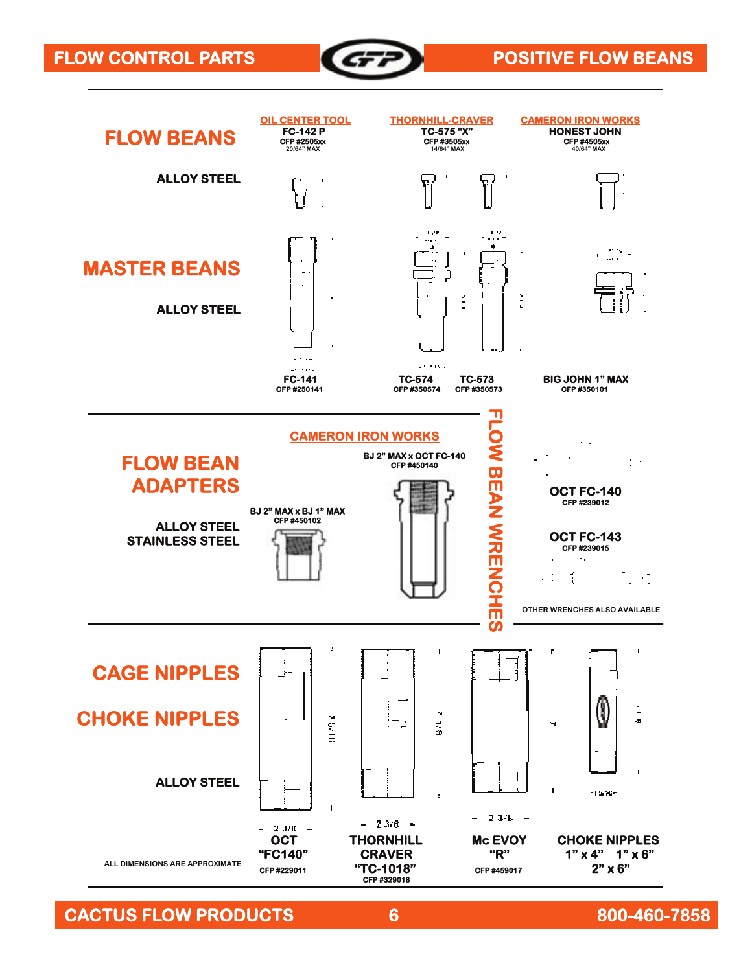



 **CACTUS FLOW PRODUCTS 6 800-460-7858**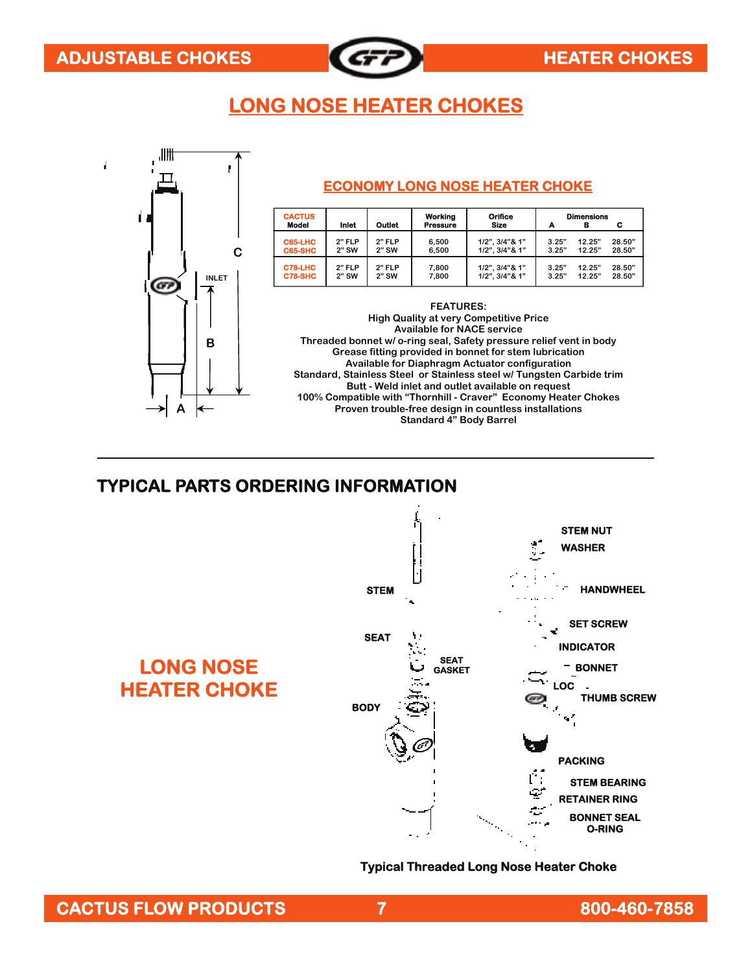

# **LONG NOSE HEATER CHOKES**



#### **TYPICAL PARTS ORDERING INFORMATION**



**Typical Threaded Long Nose Heater Choke**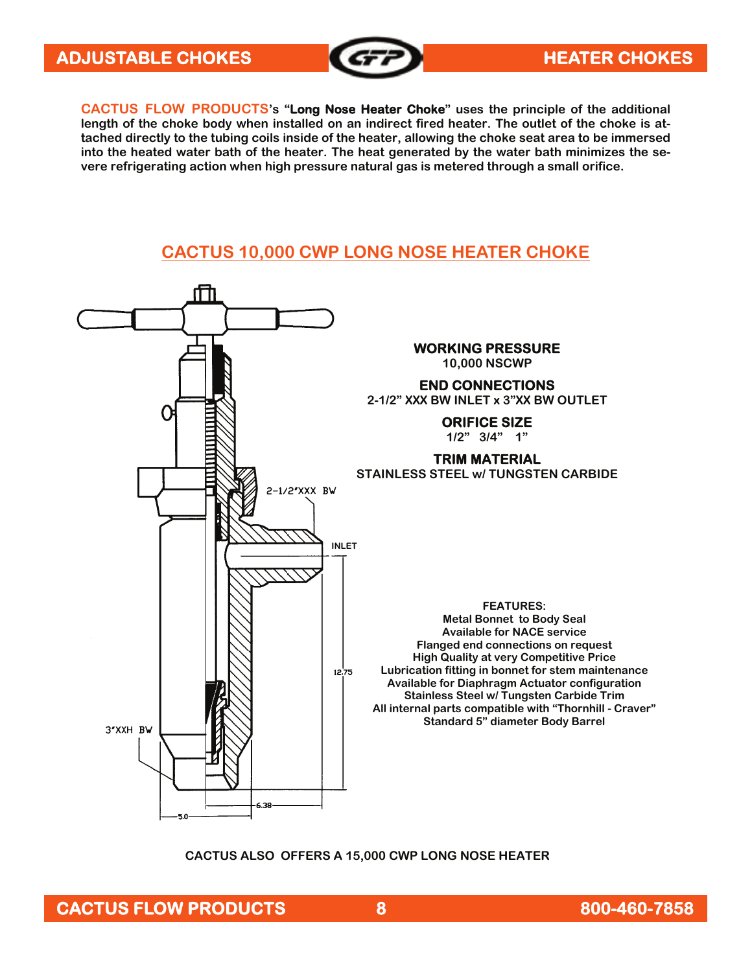

**CACTUS FLOW PRODUCTS's "Long Nose Heater Choke" uses the principle of the additional length of the choke body when installed on an indirect fired heater. The outlet of the choke is attached directly to the tubing coils inside of the heater, allowing the choke seat area to be immersed into the heated water bath of the heater. The heat generated by the water bath minimizes the severe refrigerating action when high pressure natural gas is metered through a small orifice.** 

## **CACTUS 10,000 CWP LONG NOSE HEATER CHOKE**



**CACTUS ALSO OFFERS A 15,000 CWP LONG NOSE HEATER**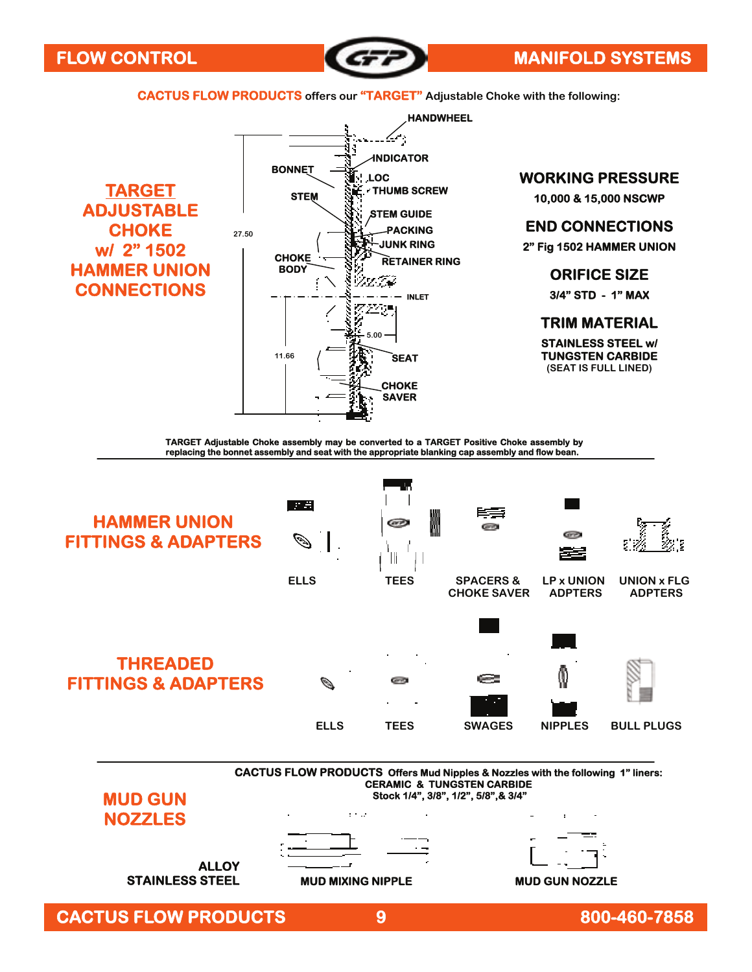

 **CACTUS FLOW PRODUCTS offers our "TARGET" Adjustable Choke with the following:**

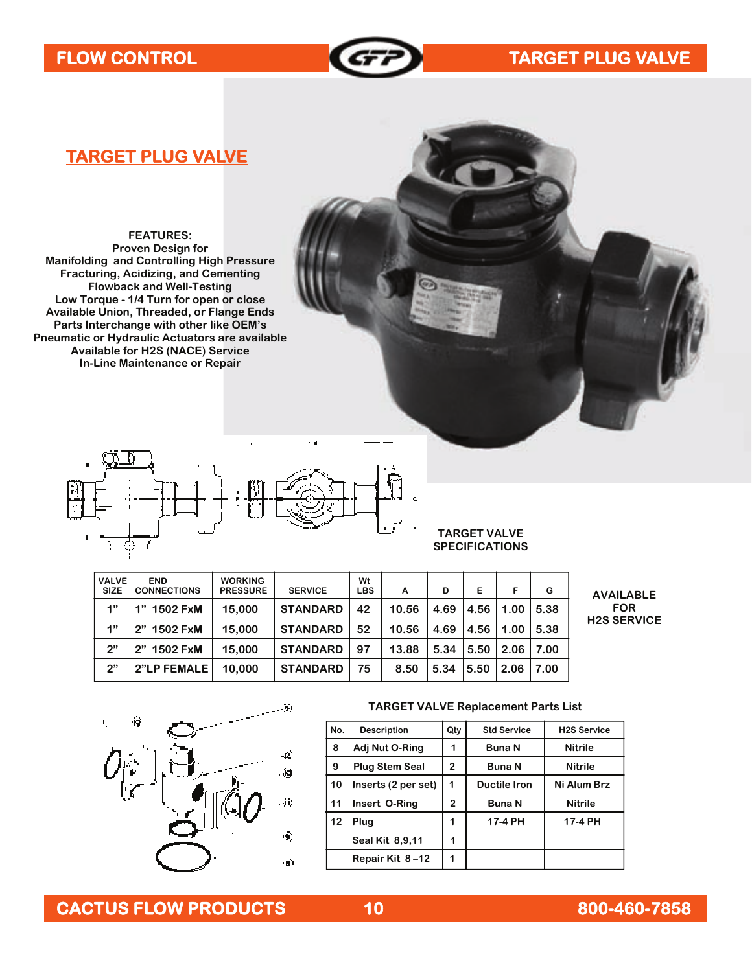

# FLOW CONTROL **TARGET PLUG VALVE**

### **TARGET PLUG VALVE**

**FEATURES: Proven Design for Manifolding and Controlling High Pressure Fracturing, Acidizing, and Cementing Flowback and Well-Testing Low Torque - 1/4 Turn for open or close Available Union, Threaded, or Flange Ends Parts Interchange with other like OEM's Pneumatic or Hydraulic Actuators are available Available for H2S (NACE) Service In-Line Maintenance or Repair** 



#### **TARGET VALVE SPECIFICATIONS**

| <b>VALVE</b> | <b>END</b>         | <b>WORKING</b>  |                 | Wt         |       |      |      |      |      |                |
|--------------|--------------------|-----------------|-----------------|------------|-------|------|------|------|------|----------------|
| <b>SIZE</b>  | <b>CONNECTIONS</b> | <b>PRESSURE</b> | <b>SERVICE</b>  | <b>LBS</b> | A     | D    | E    | F    | G    | A              |
| 1"           | 1" 1502 FxM        | 15,000          | <b>STANDARD</b> | 42         | 10.56 | 4.69 | 4.56 | 1.00 | 5.38 |                |
| 4"           | 2" 1502 FxM        | 15,000          | <b>STANDARD</b> | 52         | 10.56 | 4.69 | 4.56 | 1.00 | 5.38 | H <sub>2</sub> |
| 2"           | 2" 1502 FxM        | 15,000          | <b>STANDARD</b> | 97         | 13.88 | 5.34 | 5.50 | 2.06 | 7.00 |                |
| 2"           | 2"LP FEMALE        | 10.000          | <b>STANDARD</b> | 75         | 8.50  | 5.34 | 5.50 | 2.06 | 7.00 |                |

٠.

**AVAILABLE FOR H2S SERVICE** 



#### **TARGET VALVE Replacement Parts List**

| No. | <b>Description</b>    | Qty          | <b>Std Service</b>  | <b>H2S Service</b> |
|-----|-----------------------|--------------|---------------------|--------------------|
| 8   | Adj Nut O-Ring        | 1            | Buna N              | <b>Nitrile</b>     |
| 9   | <b>Plug Stem Seal</b> | $\mathbf{2}$ | Buna N              | <b>Nitrile</b>     |
| 10  | Inserts (2 per set)   | 1            | <b>Ductile Iron</b> | Ni Alum Brz        |
| 11  | Insert O-Ring         | $\mathbf{2}$ | <b>Buna N</b>       | <b>Nitrile</b>     |
| 12  | Plug                  | 1            | 17-4 PH             | 17-4 PH            |
|     | Seal Kit 8,9,11       | 1            |                     |                    |
|     | Repair Kit 8-12       | 1            |                     |                    |